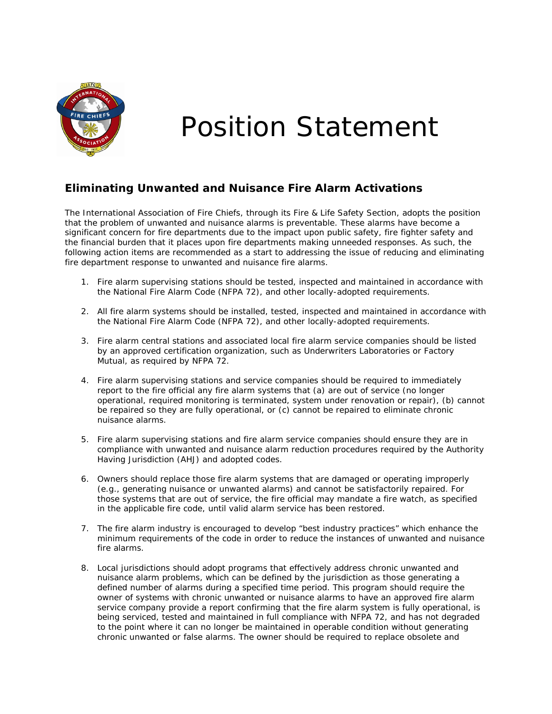

## Position Statement

## **Eliminating Unwanted and Nuisance Fire Alarm Activations**

The International Association of Fire Chiefs, through its Fire & Life Safety Section, adopts the position that the problem of unwanted and nuisance alarms is preventable. These alarms have become a significant concern for fire departments due to the impact upon public safety, fire fighter safety and the financial burden that it places upon fire departments making unneeded responses. As such, the following action items are recommended as a start to addressing the issue of reducing and eliminating fire department response to unwanted and nuisance fire alarms.

- 1. Fire alarm supervising stations should be tested, inspected and maintained in accordance with the National Fire Alarm Code (NFPA 72), and other locally-adopted requirements.
- 2. All fire alarm systems should be installed, tested, inspected and maintained in accordance with the National Fire Alarm Code (NFPA 72), and other locally-adopted requirements.
- 3. Fire alarm central stations and associated local fire alarm service companies should be listed by an approved certification organization, such as Underwriters Laboratories or Factory Mutual, as required by NFPA 72.
- 4. Fire alarm supervising stations and service companies should be required to immediately report to the fire official any fire alarm systems that (a) are out of service (no longer operational, required monitoring is terminated, system under renovation or repair), (b) cannot be repaired so they are fully operational, or (c) cannot be repaired to eliminate chronic nuisance alarms.
- 5. Fire alarm supervising stations and fire alarm service companies should ensure they are in compliance with unwanted and nuisance alarm reduction procedures required by the Authority Having Jurisdiction (AHJ) and adopted codes.
- 6. Owners should replace those fire alarm systems that are damaged or operating improperly (e.g., generating nuisance or unwanted alarms) and cannot be satisfactorily repaired. For those systems that are out of service, the fire official may mandate a fire watch, as specified in the applicable fire code, until valid alarm service has been restored.
- 7. The fire alarm industry is encouraged to develop "best industry practices" which enhance the minimum requirements of the code in order to reduce the instances of unwanted and nuisance fire alarms.
- 8. Local jurisdictions should adopt programs that effectively address chronic unwanted and nuisance alarm problems, which can be defined by the jurisdiction as those generating a defined number of alarms during a specified time period. This program should require the owner of systems with chronic unwanted or nuisance alarms to have an approved fire alarm service company provide a report confirming that the fire alarm system is fully operational, is being serviced, tested and maintained in full compliance with NFPA 72, and has not degraded to the point where it can no longer be maintained in operable condition without generating chronic unwanted or false alarms. The owner should be required to replace obsolete and